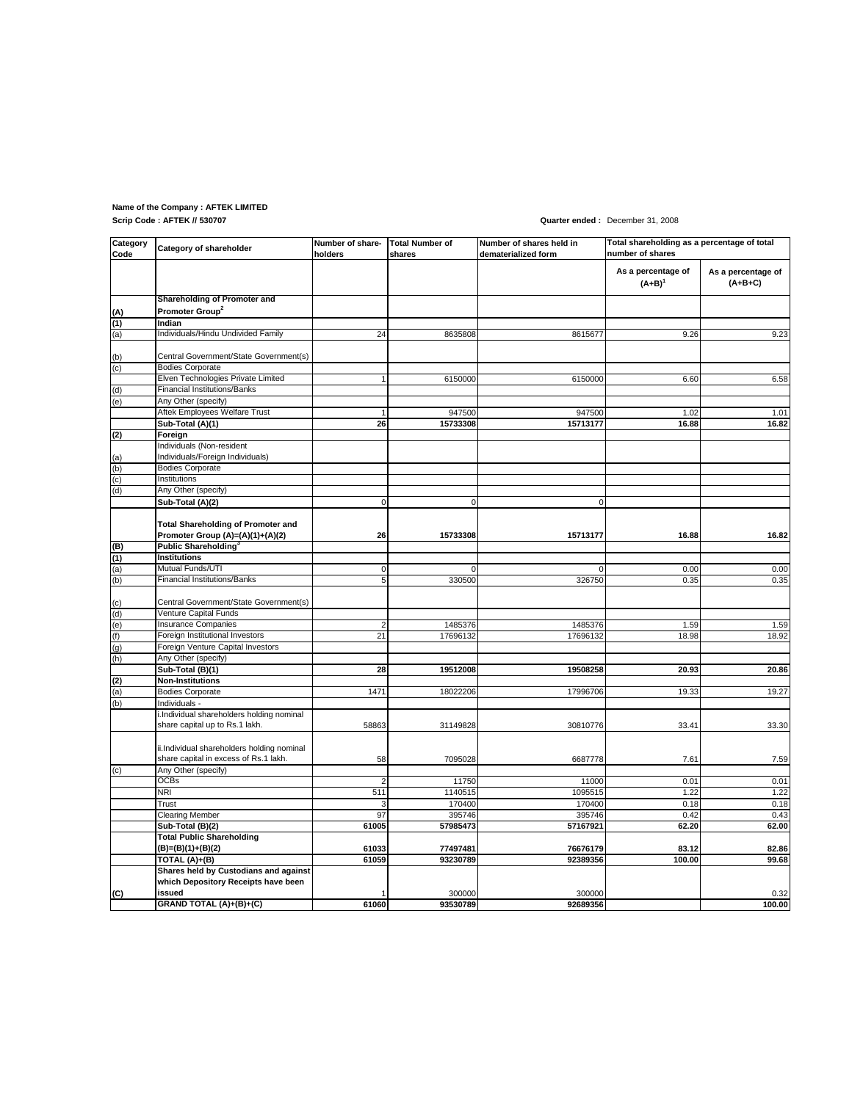## **Name of the Company : AFTEK LIMITED**

**Scrip Code : AFTEK // 530707**

#### **Quarter ended :** December 31, 2008

| Category<br>Code | Category of shareholder                    | Number of share-<br>holders | <b>Total Number of</b><br>shares | Number of shares held in<br>dematerialized form | Total shareholding as a percentage of total<br>number of shares |                                 |
|------------------|--------------------------------------------|-----------------------------|----------------------------------|-------------------------------------------------|-----------------------------------------------------------------|---------------------------------|
|                  |                                            |                             |                                  |                                                 | As a percentage of<br>$(A + B)^{1}$                             | As a percentage of<br>$(A+B+C)$ |
|                  | <b>Shareholding of Promoter and</b>        |                             |                                  |                                                 |                                                                 |                                 |
| (A)              | Promoter Group <sup>2</sup>                |                             |                                  |                                                 |                                                                 |                                 |
| (1)              | Indian                                     |                             |                                  |                                                 |                                                                 |                                 |
| (a)              | Individuals/Hindu Undivided Family         | 24                          | 8635808                          | 8615677                                         | 9.26                                                            | 9.23                            |
|                  |                                            |                             |                                  |                                                 |                                                                 |                                 |
| (b)              | Central Government/State Government(s)     |                             |                                  |                                                 |                                                                 |                                 |
| (c)              | <b>Bodies Corporate</b>                    |                             |                                  |                                                 |                                                                 |                                 |
|                  | Elven Technologies Private Limited         |                             | 6150000                          | 6150000                                         | 6.60                                                            | 6.58                            |
| (d)              | <b>Financial Institutions/Banks</b>        |                             |                                  |                                                 |                                                                 |                                 |
| (e)              | Any Other (specify)                        |                             |                                  |                                                 |                                                                 |                                 |
|                  | Aftek Employees Welfare Trust              | $\mathbf{1}$                | 947500                           | 947500                                          | 1.02                                                            | 1.01                            |
|                  | Sub-Total (A)(1)                           | 26                          | 15733308                         | 15713177                                        | 16.88                                                           | 16.82                           |
| (2)              | Foreign                                    |                             |                                  |                                                 |                                                                 |                                 |
|                  | Individuals (Non-resident                  |                             |                                  |                                                 |                                                                 |                                 |
| (a)              | Individuals/Foreign Individuals)           |                             |                                  |                                                 |                                                                 |                                 |
| (b)              | <b>Bodies Corporate</b>                    |                             |                                  |                                                 |                                                                 |                                 |
| (c)              | Institutions                               |                             |                                  |                                                 |                                                                 |                                 |
| (d)              | Any Other (specify)                        |                             |                                  |                                                 |                                                                 |                                 |
|                  | Sub-Total (A)(2)                           | $\mathbf 0$                 | 0                                | 0                                               |                                                                 |                                 |
|                  | <b>Total Shareholding of Promoter and</b>  |                             |                                  |                                                 |                                                                 |                                 |
|                  | Promoter Group (A)=(A)(1)+(A)(2)           | 26                          | 15733308                         | 15713177                                        | 16.88                                                           | 16.82                           |
| (B)              | <b>Public Shareholding®</b>                |                             |                                  |                                                 |                                                                 |                                 |
| (1)              | <b>Institutions</b>                        |                             |                                  |                                                 |                                                                 |                                 |
| (a)              | Mutual Funds/UTI                           | $\pmb{0}$                   | 0                                | 0                                               | 0.00                                                            | 0.00                            |
| (b)              | <b>Financial Institutions/Banks</b>        | $\overline{5}$              | 330500                           | 326750                                          | 0.35                                                            | 0.35                            |
|                  |                                            |                             |                                  |                                                 |                                                                 |                                 |
| (c)              | Central Government/State Government(s)     |                             |                                  |                                                 |                                                                 |                                 |
| (d)              | Venture Capital Funds                      |                             |                                  |                                                 |                                                                 |                                 |
| (e)              | <b>Insurance Companies</b>                 | $\overline{2}$              | 1485376                          | 1485376                                         | 1.59                                                            | 1.59                            |
| (f)              | Foreign Institutional Investors            | 21                          | 17696132                         | 17696132                                        | 18.98                                                           | 18.92                           |
| (g)              | Foreign Venture Capital Investors          |                             |                                  |                                                 |                                                                 |                                 |
| (h)              | Any Other (specify)                        |                             |                                  |                                                 |                                                                 |                                 |
|                  | Sub-Total (B)(1)                           | 28                          | 19512008                         | 19508258                                        | 20.93                                                           | 20.86                           |
| (2)              | <b>Non-Institutions</b>                    |                             |                                  |                                                 |                                                                 |                                 |
| (a)              | <b>Bodies Corporate</b>                    | 1471                        | 18022206                         | 17996706                                        | 19.33                                                           | 19.27                           |
| (b)              | Individuals -                              |                             |                                  |                                                 |                                                                 |                                 |
|                  | i.Individual shareholders holding nominal  |                             |                                  |                                                 |                                                                 |                                 |
|                  | share capital up to Rs.1 lakh.             | 58863                       | 31149828                         | 30810776                                        | 33.41                                                           | 33.30                           |
|                  |                                            |                             |                                  |                                                 |                                                                 |                                 |
|                  | ii.Individual shareholders holding nominal |                             |                                  |                                                 |                                                                 |                                 |
|                  | share capital in excess of Rs.1 lakh.      | 58                          | 7095028                          | 6687778                                         | 7.61                                                            | 7.59                            |
| (c)              | Any Other (specify)                        |                             |                                  |                                                 |                                                                 |                                 |
|                  | <b>OCBs</b>                                | $\overline{2}$              | 11750                            | 11000                                           | 0.01                                                            | 0.01                            |
|                  | <b>NRI</b>                                 | 511                         | 1140515                          | 1095515                                         | 1.22                                                            | 1.22                            |
|                  | Trust                                      | 3                           | 170400                           | 170400                                          | 0.18                                                            | 0.18                            |
|                  | <b>Clearing Member</b>                     | 97                          | 395746                           | 395746                                          | 0.42                                                            | 0.43                            |
|                  | Sub-Total (B)(2)                           | 61005                       | 57985473                         | 57167921                                        | 62.20                                                           | 62.00                           |
|                  | <b>Total Public Shareholding</b>           |                             |                                  |                                                 |                                                                 |                                 |
|                  | $(B)=(B)(1)+(B)(2)$                        | 61033                       | 77497481                         | 76676179                                        | 83.12                                                           | 82.86                           |
|                  | TOTAL (A)+(B)                              | 61059                       | 93230789                         | 92389356                                        | 100.00                                                          | 99.68                           |
|                  | Shares held by Custodians and against      |                             |                                  |                                                 |                                                                 |                                 |
|                  | which Depository Receipts have been        |                             |                                  |                                                 |                                                                 |                                 |
| (C)              | issued                                     |                             | 300000                           | 300000                                          |                                                                 | 0.32                            |
|                  | GRAND TOTAL (A)+(B)+(C)                    | 61060                       | 93530789                         | 92689356                                        |                                                                 | 100.00                          |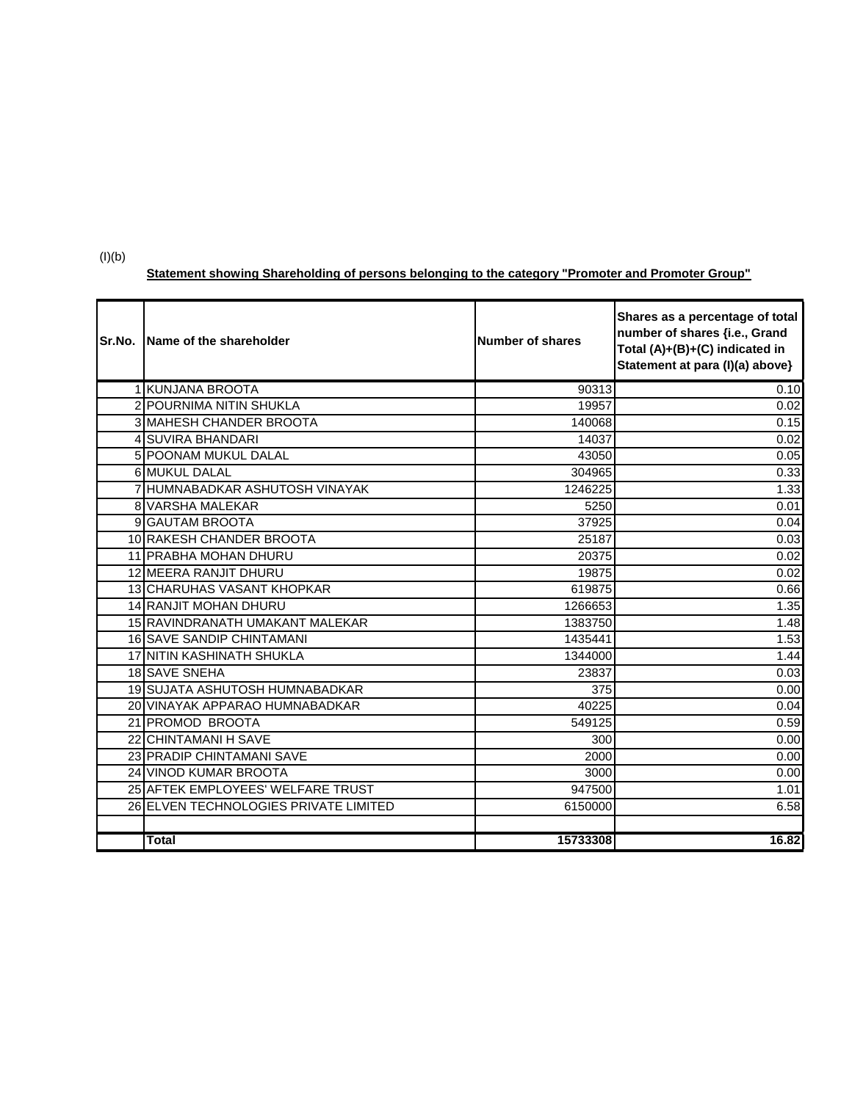$(I)(b)$ 

# **Statement showing Shareholding of persons belonging to the category "Promoter and Promoter Group"**

| Sr.No. | Name of the shareholder               | <b>Number of shares</b> | Shares as a percentage of total<br>number of shares {i.e., Grand<br>Total (A)+(B)+(C) indicated in<br>Statement at para (I)(a) above} |
|--------|---------------------------------------|-------------------------|---------------------------------------------------------------------------------------------------------------------------------------|
|        | 1 KUNJANA BROOTA                      | 90313                   | 0.10                                                                                                                                  |
|        | 2 POURNIMA NITIN SHUKLA               | 19957                   | 0.02                                                                                                                                  |
|        | 3 MAHESH CHANDER BROOTA               | 140068                  | 0.15                                                                                                                                  |
|        | 4 SUVIRA BHANDARI                     | 14037                   | 0.02                                                                                                                                  |
|        | 5 POONAM MUKUL DALAL                  | 43050                   | 0.05                                                                                                                                  |
|        | 6 MUKUL DALAL                         | 304965                  | 0.33                                                                                                                                  |
|        | 7 HUMNABADKAR ASHUTOSH VINAYAK        | 1246225                 | 1.33                                                                                                                                  |
|        | <b>8 VARSHA MALEKAR</b>               | 5250                    | 0.01                                                                                                                                  |
|        | 9 GAUTAM BROOTA                       | 37925                   | 0.04                                                                                                                                  |
|        | 10 RAKESH CHANDER BROOTA              | 25187                   | 0.03                                                                                                                                  |
|        | 11 PRABHA MOHAN DHURU                 | 20375                   | 0.02                                                                                                                                  |
|        | 12 MEERA RANJIT DHURU                 | 19875                   | 0.02                                                                                                                                  |
|        | 13 CHARUHAS VASANT KHOPKAR            | 619875                  | 0.66                                                                                                                                  |
|        | 14 RANJIT MOHAN DHURU                 | 1266653                 | 1.35                                                                                                                                  |
|        | 15 RAVINDRANATH UMAKANT MALEKAR       | 1383750                 | 1.48                                                                                                                                  |
|        | 16 SAVE SANDIP CHINTAMANI             | 1435441                 | 1.53                                                                                                                                  |
|        | 17 NITIN KASHINATH SHUKLA             | 1344000                 | 1.44                                                                                                                                  |
|        | 18 SAVE SNEHA                         | 23837                   | 0.03                                                                                                                                  |
|        | 19 SUJATA ASHUTOSH HUMNABADKAR        | 375                     | 0.00                                                                                                                                  |
|        | 20 VINAYAK APPARAO HUMNABADKAR        | 40225                   | 0.04                                                                                                                                  |
|        | 21 PROMOD BROOTA                      | 549125                  | 0.59                                                                                                                                  |
|        | 22 CHINTAMANI H SAVE                  | 300                     | 0.00                                                                                                                                  |
|        | 23 PRADIP CHINTAMANI SAVE             | 2000                    | 0.00                                                                                                                                  |
|        | 24 VINOD KUMAR BROOTA                 | 3000                    | 0.00                                                                                                                                  |
|        | 25 AFTEK EMPLOYEES' WELFARE TRUST     | 947500                  | 1.01                                                                                                                                  |
|        | 26 ELVEN TECHNOLOGIES PRIVATE LIMITED | 6150000                 | 6.58                                                                                                                                  |
|        |                                       |                         |                                                                                                                                       |
|        | <b>Total</b>                          | 15733308                | 16.82                                                                                                                                 |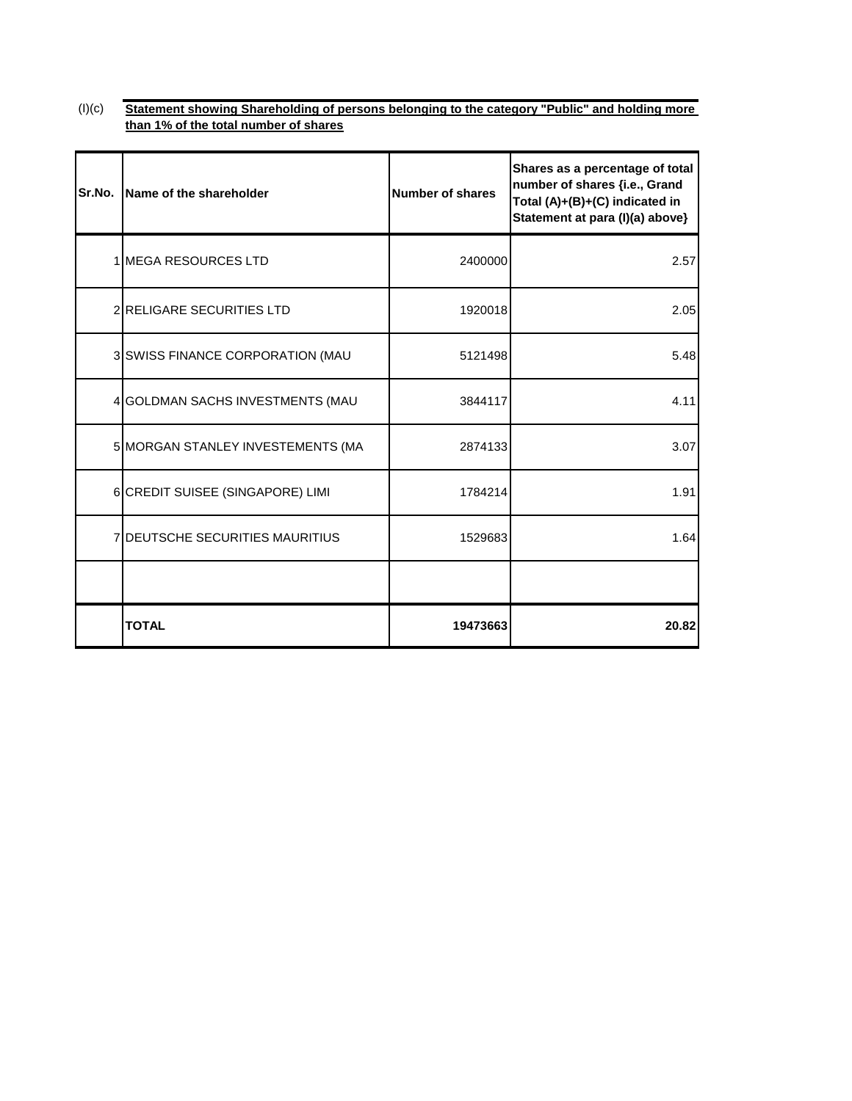(I)(c) **Statement showing Shareholding of persons belonging to the category "Public" and holding more than 1% of the total number of shares**

| Sr.No. | Name of the shareholder           | <b>Number of shares</b> | Shares as a percentage of total<br>number of shares {i.e., Grand<br>Total (A)+(B)+(C) indicated in<br>Statement at para (I)(a) above} |
|--------|-----------------------------------|-------------------------|---------------------------------------------------------------------------------------------------------------------------------------|
|        | 1 MEGA RESOURCES LTD              | 2400000                 | 2.57                                                                                                                                  |
|        | 2 RELIGARE SECURITIES LTD         | 1920018                 | 2.05                                                                                                                                  |
|        | 3 SWISS FINANCE CORPORATION (MAU  | 5121498                 | 5.48                                                                                                                                  |
|        | 4 GOLDMAN SACHS INVESTMENTS (MAU  | 3844117                 | 4.11                                                                                                                                  |
|        | 5 MORGAN STANLEY INVESTEMENTS (MA | 2874133                 | 3.07                                                                                                                                  |
|        | 6 CREDIT SUISEE (SINGAPORE) LIMI  | 1784214                 | 1.91                                                                                                                                  |
|        | 7 DEUTSCHE SECURITIES MAURITIUS   | 1529683                 | 1.64                                                                                                                                  |
|        |                                   |                         |                                                                                                                                       |
|        | <b>TOTAL</b>                      | 19473663                | 20.82                                                                                                                                 |